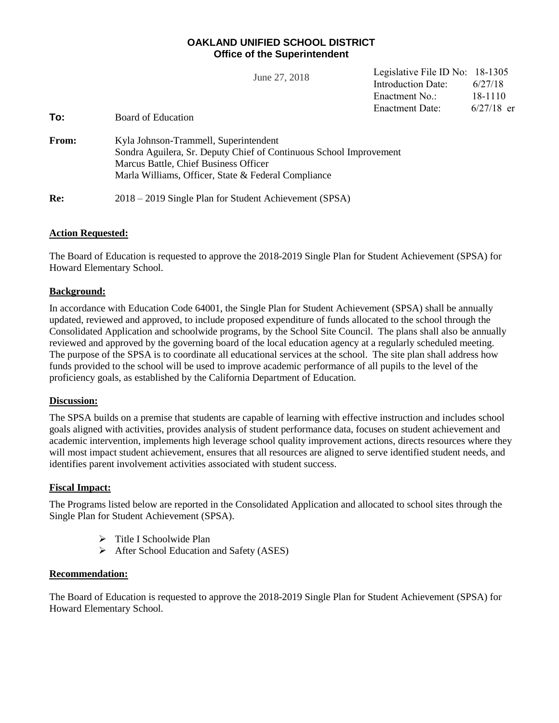## **OAKLAND UNIFIED SCHOOL DISTRICT Office of the Superintendent**

|       | June 27, 2018                                                      | Legislative File ID No: 18-1305 |              |  |  |  |
|-------|--------------------------------------------------------------------|---------------------------------|--------------|--|--|--|
|       |                                                                    | Introduction Date:              | 6/27/18      |  |  |  |
|       |                                                                    | Enactment No.:                  | 18-1110      |  |  |  |
|       |                                                                    | <b>Enactment Date:</b>          | $6/27/18$ er |  |  |  |
| To:   | Board of Education                                                 |                                 |              |  |  |  |
| From: | Kyla Johnson-Trammell, Superintendent                              |                                 |              |  |  |  |
|       | Sondra Aguilera, Sr. Deputy Chief of Continuous School Improvement |                                 |              |  |  |  |
|       | Marcus Battle, Chief Business Officer                              |                                 |              |  |  |  |
|       | Marla Williams, Officer, State & Federal Compliance                |                                 |              |  |  |  |
| Re:   | 2018 – 2019 Single Plan for Student Achievement (SPSA)             |                                 |              |  |  |  |

## **Action Requested:**

The Board of Education is requested to approve the 2018-2019 Single Plan for Student Achievement (SPSA) for Howard Elementary School.

## **Background:**

In accordance with Education Code 64001, the Single Plan for Student Achievement (SPSA) shall be annually updated, reviewed and approved, to include proposed expenditure of funds allocated to the school through the Consolidated Application and schoolwide programs, by the School Site Council. The plans shall also be annually reviewed and approved by the governing board of the local education agency at a regularly scheduled meeting. The purpose of the SPSA is to coordinate all educational services at the school. The site plan shall address how funds provided to the school will be used to improve academic performance of all pupils to the level of the proficiency goals, as established by the California Department of Education.

## **Discussion:**

The SPSA builds on a premise that students are capable of learning with effective instruction and includes school goals aligned with activities, provides analysis of student performance data, focuses on student achievement and academic intervention, implements high leverage school quality improvement actions, directs resources where they will most impact student achievement, ensures that all resources are aligned to serve identified student needs, and identifies parent involvement activities associated with student success.

## **Fiscal Impact:**

The Programs listed below are reported in the Consolidated Application and allocated to school sites through the Single Plan for Student Achievement (SPSA).

- $\triangleright$  Title I Schoolwide Plan
- $\triangleright$  After School Education and Safety (ASES)

### **Recommendation:**

The Board of Education is requested to approve the 2018-2019 Single Plan for Student Achievement (SPSA) for Howard Elementary School.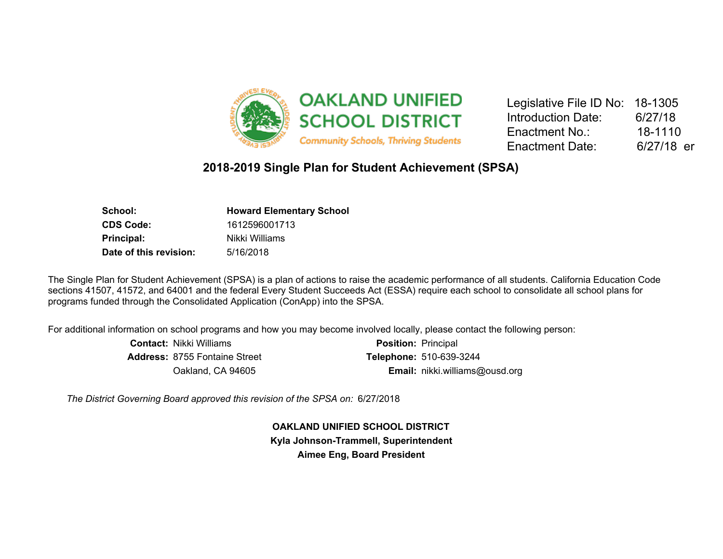

| Legislative File ID No: 18-1305 |            |
|---------------------------------|------------|
| <b>Introduction Date:</b>       | 6/27/18    |
| Enactment No.:                  | 18-1110    |
| <b>Enactment Date:</b>          | 6/27/18 er |

# **2018-2019 Single Plan for Student Achievement (SPSA)**

| <b>Howard Elementary School</b> |  |  |
|---------------------------------|--|--|
| 1612596001713                   |  |  |
| Nikki Williams                  |  |  |
| 5/16/2018                       |  |  |
|                                 |  |  |

The Single Plan for Student Achievement (SPSA) is a plan of actions to raise the academic performance of all students. California Education Code sections 41507, 41572, and 64001 and the federal Every Student Succeeds Act (ESSA) require each school to consolidate all school plans for programs funded through the Consolidated Application (ConApp) into the SPSA.

For additional information on school programs and how you may become involved locally, please contact the following person:

| <b>Contact: Nikki Williams</b>       | <b>Position: Principal</b>            |
|--------------------------------------|---------------------------------------|
| <b>Address: 8755 Fontaine Street</b> | <b>Telephone: 510-639-3244</b>        |
| Oakland, CA 94605                    | <b>Email:</b> nikki.williams@ousd.org |

*The District Governing Board approved this revision of the SPSA on:* 6/27/2018

**OAKLAND UNIFIED SCHOOL DISTRICT Kyla Johnson-Trammell, Superintendent Aimee Eng, Board President**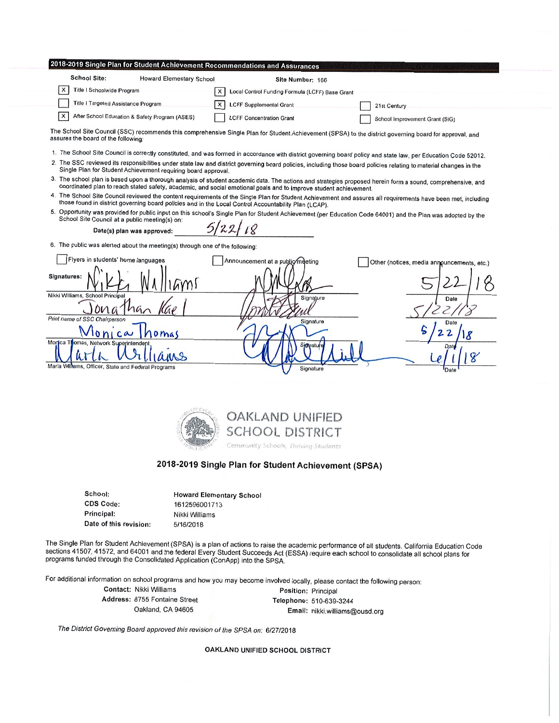#### 2018-2019 Single Plan for Student Achievement Recommendations and Assurances

| <b>School Site:</b>                            | <b>Howard Elementary School</b> | Site Number: 166                                |                                |
|------------------------------------------------|---------------------------------|-------------------------------------------------|--------------------------------|
| Title I Schoolwide Program                     |                                 | Local Control Funding Formula (LCFF) Base Grant |                                |
| Title I Targeted Assistance Program            |                                 | X LCFF Supplemental Grant                       | 21st Century                   |
| After School Education & Safety Program (ASES) |                                 | <b>LCFF Concentration Grant</b>                 | School Improvement Grant (SIG) |

The School Site Council (SSC) recommends this comprehensive Single Plan for Student Achievement (SPSA) to the district governing board for approval, and assures the board of the following:

- 1. The School Site Council is correctly constituted, and was formed in accordance with district governing board policy and state law, per Education Code 52012.
- 2. The SSC reviewed its responsibilities under state law and district governing board policies, including those board policies relating to material changes in the Single Plan for Student Achievement requiring board approval.
- 3. The school plan is based upon a thorough analysis of student academic data. The actions and strategies proposed herein form a sound, comprehensive, and coordinated plan to reach stated safety, academic, and social emotional goals and to improve student achievement.
- 4. The School Site Council reviewed the content requirements of the Single Plan for Student Achievement and assures all requirements have been met, including those found in district governing board policies and in the Local Control Accountability Plan (LCAP).
- 5. Opportunity was provided for public input on this school's Single Plan for Student Achievement (per Education Code 64001) and the Plan was adopted by the School Site Council at a public meeting(s) on:

Date(s) plan was approved:

6. The public was alerted about the meeting(s) through one of the following:

| Flyers in students' home languages                                | Announcement at a public meeting | Other (notices, media announcements, etc.) |
|-------------------------------------------------------------------|----------------------------------|--------------------------------------------|
| Signatures:                                                       |                                  |                                            |
| Nikki Williams, School Principal<br>na<br>on                      | Signature                        | Date                                       |
| Print name of SSC Chairperson<br>Vlonica                          | Signature                        | Date                                       |
| Jomas<br>Mortica Thomas, Network Superintendent,<br>$\mathsf{MS}$ | Signature                        | Date                                       |
| Marla Williams, Officer, State and Federal Programs               | Signature                        | Date                                       |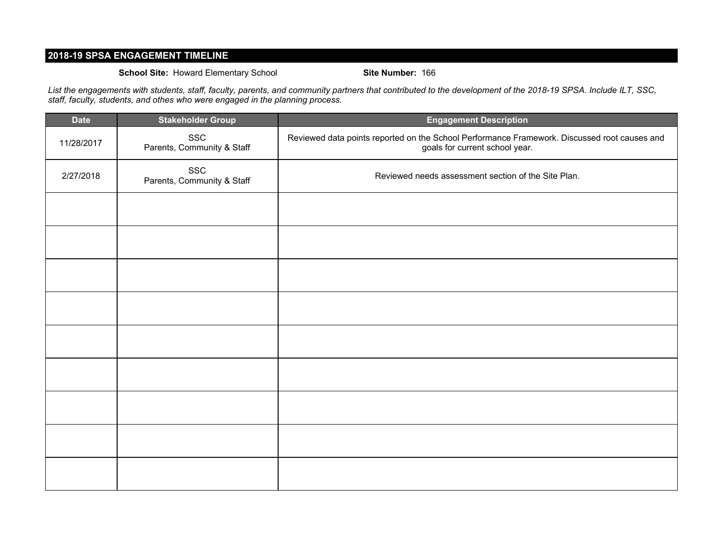## **2018-19 SPSA ENGAGEMENT TIMELINE**

### **School Site:** Howard Elementary School **Site Number:** 166

*List the engagements with students, staff, faculty, parents, and community partners that contributed to the development of the 2018-19 SPSA. Include ILT, SSC, staff, faculty, students, and othes who were engaged in the planning process.*

| <b>Date</b> | <b>Stakeholder Group</b>          | <b>Engagement Description</b>                                                                                                  |
|-------------|-----------------------------------|--------------------------------------------------------------------------------------------------------------------------------|
| 11/28/2017  | SSC<br>Parents, Community & Staff | Reviewed data points reported on the School Performance Framework. Discussed root causes and<br>goals for current school year. |
| 2/27/2018   | SSC<br>Parents, Community & Staff | Reviewed needs assessment section of the Site Plan.                                                                            |
|             |                                   |                                                                                                                                |
|             |                                   |                                                                                                                                |
|             |                                   |                                                                                                                                |
|             |                                   |                                                                                                                                |
|             |                                   |                                                                                                                                |
|             |                                   |                                                                                                                                |
|             |                                   |                                                                                                                                |
|             |                                   |                                                                                                                                |
|             |                                   |                                                                                                                                |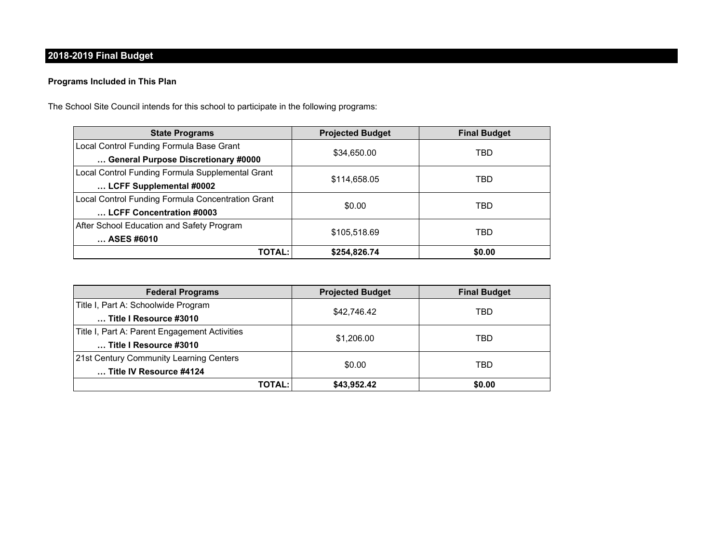# **2018-2019 Final Budget**

## **Programs Included in This Plan**

The School Site Council intends for this school to participate in the following programs:

| <b>State Programs</b>                             | <b>Projected Budget</b> | <b>Final Budget</b> |  |
|---------------------------------------------------|-------------------------|---------------------|--|
| Local Control Funding Formula Base Grant          |                         | TBD                 |  |
| General Purpose Discretionary #0000               | \$34,650.00             |                     |  |
| Local Control Funding Formula Supplemental Grant  | \$114,658.05            | TBD                 |  |
| LCFF Supplemental #0002                           |                         |                     |  |
| Local Control Funding Formula Concentration Grant | \$0.00                  | TBD                 |  |
| LCFF Concentration #0003                          |                         |                     |  |
| After School Education and Safety Program         |                         | TBD                 |  |
| ASES #6010                                        | \$105,518.69            |                     |  |
| <b>TOTAL:</b>                                     | \$254,826.74            | \$0.00              |  |

| <b>Federal Programs</b>                       | <b>Projected Budget</b> | <b>Final Budget</b> |  |
|-----------------------------------------------|-------------------------|---------------------|--|
| Title I, Part A: Schoolwide Program           |                         | TBD                 |  |
| Title I Resource #3010                        | \$42.746.42             |                     |  |
| Title I, Part A: Parent Engagement Activities |                         | TBD                 |  |
| Title I Resource #3010                        | \$1,206.00              |                     |  |
| 21st Century Community Learning Centers       |                         | TBD                 |  |
| Title IV Resource #4124                       | \$0.00                  |                     |  |
| TOTAL:                                        | \$43,952.42             | \$0.00              |  |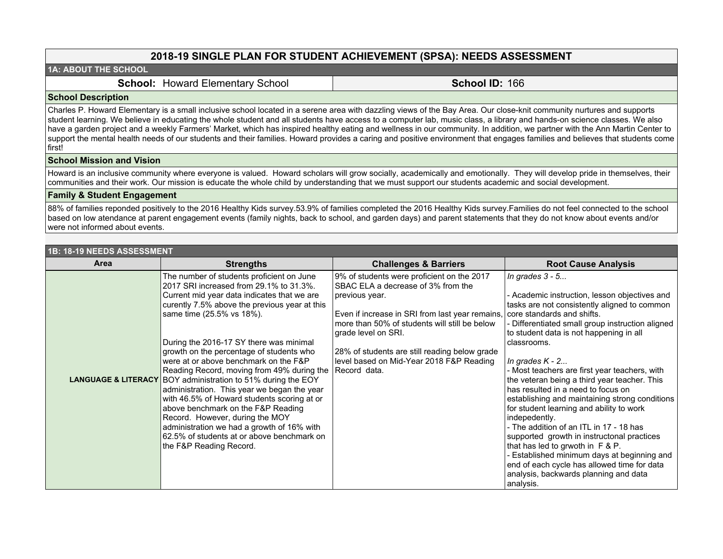## **2018-19 SINGLE PLAN FOR STUDENT ACHIEVEMENT (SPSA): NEEDS ASSESSMENT**

### **1A: ABOUT THE SCHOOL**

**School: Howard Elementary School | School ID: 166** 

#### **School Description**

Charles P. Howard Elementary is a small inclusive school located in a serene area with dazzling views of the Bay Area. Our close-knit community nurtures and supports student learning. We believe in educating the whole student and all students have access to a computer lab, music class, a library and hands-on science classes. We also have a garden project and a weekly Farmers' Market, which has inspired healthy eating and wellness in our community. In addition, we partner with the Ann Martin Center to support the mental health needs of our students and their families. Howard provides a caring and positive environment that engages families and believes that students come first!

#### **School Mission and Vision**

Howard is an inclusive community where everyone is valued. Howard scholars will grow socially, academically and emotionally. They will develop pride in themselves, their communities and their work. Our mission is educate the whole child by understanding that we must support our students academic and social development.

#### **Family & Student Engagement**

88% of families reponded positively to the 2016 Healthy Kids survey.53.9% of families completed the 2016 Healthy Kids survey.Families do not feel connected to the school based on low atendance at parent engagement events (family nights, back to school, and garden days) and parent statements that they do not know about events and/or were not informed about events.

| <b>1B: 18-19 NEEDS ASSESSMENT</b> |                                                                                                                                                                                                                                                                                                                                                                                                                                                                                                                                                                                                                                                                                                                                                                          |                                                                                                                                                                                                                                                                                                                                            |                                                                                                                                                                                                                                                                                                                                                                                                                                                                                                                                                                                                                                                                                                                                                                                                                        |  |  |
|-----------------------------------|--------------------------------------------------------------------------------------------------------------------------------------------------------------------------------------------------------------------------------------------------------------------------------------------------------------------------------------------------------------------------------------------------------------------------------------------------------------------------------------------------------------------------------------------------------------------------------------------------------------------------------------------------------------------------------------------------------------------------------------------------------------------------|--------------------------------------------------------------------------------------------------------------------------------------------------------------------------------------------------------------------------------------------------------------------------------------------------------------------------------------------|------------------------------------------------------------------------------------------------------------------------------------------------------------------------------------------------------------------------------------------------------------------------------------------------------------------------------------------------------------------------------------------------------------------------------------------------------------------------------------------------------------------------------------------------------------------------------------------------------------------------------------------------------------------------------------------------------------------------------------------------------------------------------------------------------------------------|--|--|
| Area                              | <b>Strengths</b>                                                                                                                                                                                                                                                                                                                                                                                                                                                                                                                                                                                                                                                                                                                                                         | <b>Challenges &amp; Barriers</b>                                                                                                                                                                                                                                                                                                           | <b>Root Cause Analysis</b>                                                                                                                                                                                                                                                                                                                                                                                                                                                                                                                                                                                                                                                                                                                                                                                             |  |  |
|                                   | The number of students proficient on June<br>2017 SRI increased from 29.1% to 31.3%.<br>Current mid year data indicates that we are<br>curently 7.5% above the previous year at this<br>same time (25.5% vs 18%).<br>During the 2016-17 SY there was minimal<br>growth on the percentage of students who<br>were at or above benchmark on the F&P<br>Reading Record, moving from 49% during the<br><b>LANGUAGE &amp; LITERACY BOY administration to 51% during the EOY</b><br>administration. This year we began the year<br>with 46.5% of Howard students scoring at or<br>above benchmark on the F&P Reading<br>Record. However, during the MOY<br>administration we had a growth of 16% with<br>62.5% of students at or above benchmark on<br>the F&P Reading Record. | 9% of students were proficient on the 2017<br>SBAC ELA a decrease of 3% from the<br>previous year.<br>Even if increase in SRI from last year remains,<br>more than 50% of students will still be below<br>grade level on SRI.<br>28% of students are still reading below grade<br>level based on Mid-Year 2018 F&P Reading<br>Record data. | In grades $3 - 5$<br>- Academic instruction, lesson objectives and<br>tasks are not consistently aligned to common<br>core standards and shifts.<br>Differentiated small group instruction aligned<br>to student data is not happening in all<br>classrooms.<br>In grades $K - 2$<br>- Most teachers are first year teachers, with<br>the veteran being a third year teacher. This<br>has resulted in a need to focus on<br>establishing and maintaining strong conditions<br>for student learning and ability to work<br>indepedently.<br>- The addition of an ITL in 17 - 18 has<br>supported growth in instructonal practices<br>that has led to grwoth in F & P.<br>Established minimum days at beginning and<br>end of each cycle has allowed time for data<br>analysis, backwards planning and data<br>analysis. |  |  |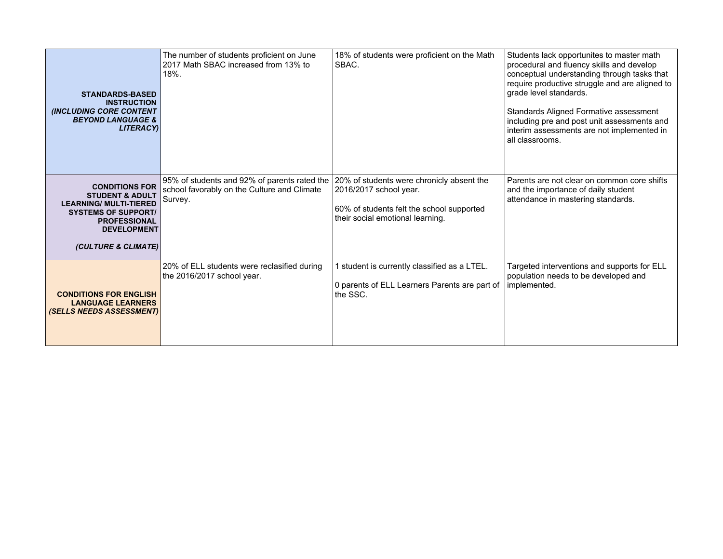| <b>STANDARDS-BASED</b><br><b>INSTRUCTION</b><br><b>(INCLUDING CORE CONTENT</b><br><b>BEYOND LANGUAGE &amp;</b><br><b>LITERACYI</b>                                                     | The number of students proficient on June<br>2017 Math SBAC increased from 13% to<br>18%.              | 18% of students were proficient on the Math<br>SBAC.                                                                                                 | Students lack opportunites to master math<br>procedural and fluency skills and develop<br>conceptual understanding through tasks that<br>require productive struggle and are aligned to<br>grade level standards.<br>Standards Aligned Formative assessment<br>including pre and post unit assessments and<br>interim assessments are not implemented in<br>all classrooms. |
|----------------------------------------------------------------------------------------------------------------------------------------------------------------------------------------|--------------------------------------------------------------------------------------------------------|------------------------------------------------------------------------------------------------------------------------------------------------------|-----------------------------------------------------------------------------------------------------------------------------------------------------------------------------------------------------------------------------------------------------------------------------------------------------------------------------------------------------------------------------|
| <b>CONDITIONS FOR</b><br><b>STUDENT &amp; ADULT</b><br><b>LEARNING/ MULTI-TIERED</b><br><b>SYSTEMS OF SUPPORT/</b><br><b>PROFESSIONAL</b><br><b>DEVELOPMENT</b><br>(CULTURE & CLIMATE) | 95% of students and 92% of parents rated the<br>school favorably on the Culture and Climate<br>Survey. | 20% of students were chronicly absent the<br>2016/2017 school year.<br>60% of students felt the school supported<br>their social emotional learning. | Parents are not clear on common core shifts<br>and the importance of daily student<br>attendance in mastering standards.                                                                                                                                                                                                                                                    |
| <b>CONDITIONS FOR ENGLISH</b><br><b>LANGUAGE LEARNERS</b><br>(SELLS NEEDS ASSESSMENT)                                                                                                  | 20% of ELL students were reclasified during<br>the 2016/2017 school year.                              | I student is currently classified as a LTEL.<br>0 parents of ELL Learners Parents are part of<br>the SSC.                                            | Targeted interventions and supports for ELL<br>population needs to be developed and<br>implemented.                                                                                                                                                                                                                                                                         |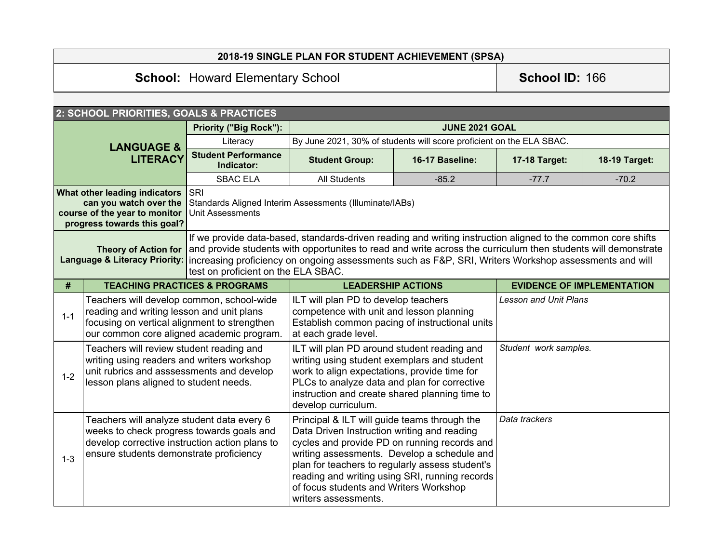# **2018-19 SINGLE PLAN FOR STUDENT ACHIEVEMENT (SPSA)**

# **School:** Howard Elementary School **School ID:** 166

|                                                                                                                                                                                                                                                                                                                                                                                                                                                                                                                                                                      | 2: SCHOOL PRIORITIES, GOALS & PRACTICES  |                                                                                                                                                                                                                                                                     |                                                                      |                              |               |                                   |
|----------------------------------------------------------------------------------------------------------------------------------------------------------------------------------------------------------------------------------------------------------------------------------------------------------------------------------------------------------------------------------------------------------------------------------------------------------------------------------------------------------------------------------------------------------------------|------------------------------------------|---------------------------------------------------------------------------------------------------------------------------------------------------------------------------------------------------------------------------------------------------------------------|----------------------------------------------------------------------|------------------------------|---------------|-----------------------------------|
| <b>LANGUAGE &amp;</b><br><b>LITERACY</b>                                                                                                                                                                                                                                                                                                                                                                                                                                                                                                                             |                                          | <b>Priority ("Big Rock"):</b>                                                                                                                                                                                                                                       | <b>JUNE 2021 GOAL</b>                                                |                              |               |                                   |
|                                                                                                                                                                                                                                                                                                                                                                                                                                                                                                                                                                      |                                          | Literacy                                                                                                                                                                                                                                                            | By June 2021, 30% of students will score proficient on the ELA SBAC. |                              |               |                                   |
|                                                                                                                                                                                                                                                                                                                                                                                                                                                                                                                                                                      |                                          | <b>Student Performance</b><br>Indicator:                                                                                                                                                                                                                            | <b>Student Group:</b>                                                | 16-17 Baseline:              | 17-18 Target: | 18-19 Target:                     |
|                                                                                                                                                                                                                                                                                                                                                                                                                                                                                                                                                                      |                                          | <b>SBAC ELA</b>                                                                                                                                                                                                                                                     | <b>All Students</b>                                                  | $-85.2$                      | $-77.7$       | $-70.2$                           |
| <b>SRI</b><br>What other leading indicators<br>can you watch over the<br>Standards Aligned Interim Assessments (Illuminate/IABs)<br>course of the year to monitor<br>Unit Assessments<br>progress towards this goal?                                                                                                                                                                                                                                                                                                                                                 |                                          |                                                                                                                                                                                                                                                                     |                                                                      |                              |               |                                   |
| If we provide data-based, standards-driven reading and writing instruction aligned to the common core shifts<br>and provide students with opportunites to read and write across the curriculum then students will demonstrate<br><b>Theory of Action for</b><br><b>Language &amp; Literacy Priority:</b><br>increasing proficiency on ongoing assessments such as F&P, SRI, Writers Workshop assessments and will<br>test on proficient on the ELA SBAC.                                                                                                             |                                          |                                                                                                                                                                                                                                                                     |                                                                      |                              |               |                                   |
| #                                                                                                                                                                                                                                                                                                                                                                                                                                                                                                                                                                    | <b>TEACHING PRACTICES &amp; PROGRAMS</b> |                                                                                                                                                                                                                                                                     | <b>LEADERSHIP ACTIONS</b>                                            |                              |               | <b>EVIDENCE OF IMPLEMENTATION</b> |
| Teachers will develop common, school-wide<br>reading and writing lesson and unit plans<br>$1 - 1$<br>focusing on vertical alignment to strengthen<br>our common core aligned academic program.                                                                                                                                                                                                                                                                                                                                                                       |                                          | ILT will plan PD to develop teachers<br>competence with unit and lesson planning<br>Establish common pacing of instructional units<br>at each grade level.                                                                                                          |                                                                      | <b>Lesson and Unit Plans</b> |               |                                   |
| Teachers will review student reading and<br>writing using readers and writers workshop<br>unit rubrics and asssessments and develop<br>$1 - 2$<br>lesson plans aligned to student needs.                                                                                                                                                                                                                                                                                                                                                                             |                                          | ILT will plan PD around student reading and<br>writing using student exemplars and student<br>work to align expectations, provide time for<br>PLCs to analyze data and plan for corrective<br>instruction and create shared planning time to<br>develop curriculum. |                                                                      | Student work samples.        |               |                                   |
| Principal & ILT will guide teams through the<br>Teachers will analyze student data every 6<br>weeks to check progress towards goals and<br>Data Driven Instruction writing and reading<br>develop corrective instruction action plans to<br>cycles and provide PD on running records and<br>writing assessments. Develop a schedule and<br>ensure students demonstrate proficiency<br>$1 - 3$<br>plan for teachers to regularly assess student's<br>reading and writing using SRI, running records<br>of focus students and Writers Workshop<br>writers assessments. |                                          | Data trackers                                                                                                                                                                                                                                                       |                                                                      |                              |               |                                   |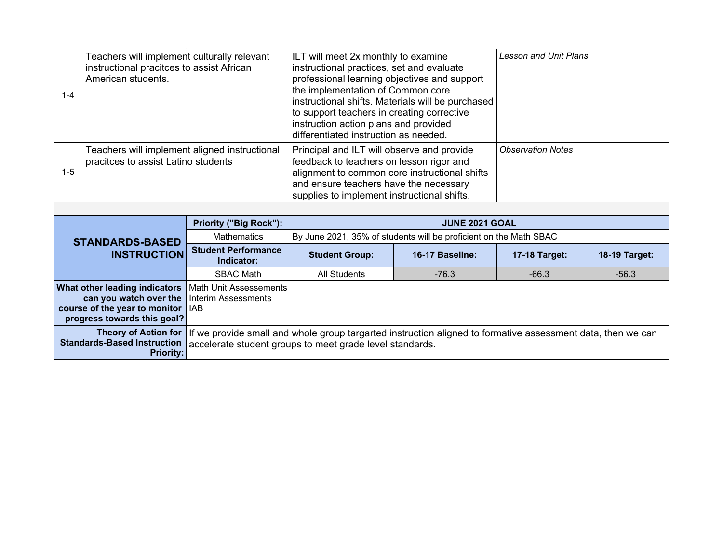| $1 - 4$ | Teachers will implement culturally relevant<br>instructional pracitces to assist African<br>American students. | ILT will meet 2x monthly to examine<br>instructional practices, set and evaluate<br>professional learning objectives and support<br>the implementation of Common core<br>instructional shifts. Materials will be purchased<br>to support teachers in creating corrective<br>instruction action plans and provided<br>differentiated instruction as needed. | <b>Lesson and Unit Plans</b> |
|---------|----------------------------------------------------------------------------------------------------------------|------------------------------------------------------------------------------------------------------------------------------------------------------------------------------------------------------------------------------------------------------------------------------------------------------------------------------------------------------------|------------------------------|
| $1 - 5$ | Teachers will implement aligned instructional<br>pracitces to assist Latino students                           | Principal and ILT will observe and provide<br>feedback to teachers on lesson rigor and<br>alignment to common core instructional shifts<br>and ensure teachers have the necessary<br>supplies to implement instructional shifts.                                                                                                                           | <b>Observation Notes</b>     |

|                                                                                                                                                                                                                            | <b>Priority ("Big Rock"):</b>            | <b>JUNE 2021 GOAL</b> |                                                                   |               |                      |  |  |  |
|----------------------------------------------------------------------------------------------------------------------------------------------------------------------------------------------------------------------------|------------------------------------------|-----------------------|-------------------------------------------------------------------|---------------|----------------------|--|--|--|
| <b>STANDARDS-BASED</b>                                                                                                                                                                                                     | <b>Mathematics</b>                       |                       | By June 2021, 35% of students will be proficient on the Math SBAC |               |                      |  |  |  |
| <b>INSTRUCTION</b>                                                                                                                                                                                                         | <b>Student Performance</b><br>Indicator: | <b>Student Group:</b> | 16-17 Baseline:                                                   | 17-18 Target: | <b>18-19 Target:</b> |  |  |  |
|                                                                                                                                                                                                                            | <b>SBAC Math</b>                         | All Students          | $-76.3$                                                           | $-66.3$       | $-56.3$              |  |  |  |
| <b>What other leading indicators</b>                                                                                                                                                                                       | Math Unit Assessements                   |                       |                                                                   |               |                      |  |  |  |
| can you watch over the Interim Assessments                                                                                                                                                                                 |                                          |                       |                                                                   |               |                      |  |  |  |
| course of the year to monitor   IAB                                                                                                                                                                                        |                                          |                       |                                                                   |               |                      |  |  |  |
| progress towards this goal?                                                                                                                                                                                                |                                          |                       |                                                                   |               |                      |  |  |  |
| Theory of Action for If we provide small and whole group targarted instruction aligned to formative assessment data, then we can<br>Standards-Based Instruction   accelerate student groups to meet grade level standards. |                                          |                       |                                                                   |               |                      |  |  |  |
| <b>Priority:</b>                                                                                                                                                                                                           |                                          |                       |                                                                   |               |                      |  |  |  |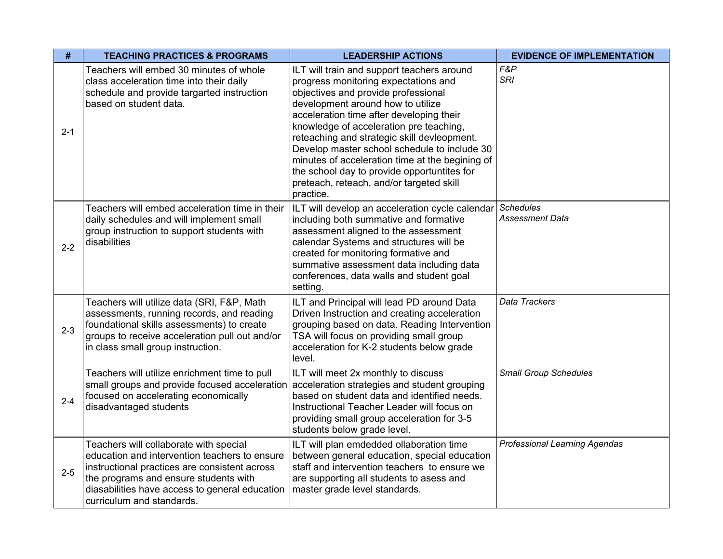| #       | <b>TEACHING PRACTICES &amp; PROGRAMS</b>                                                                                                                                                                                                                         | <b>LEADERSHIP ACTIONS</b>                                                                                                                                                                                                                                                                                                                                                                                                                                                                                       | <b>EVIDENCE OF IMPLEMENTATION</b>    |
|---------|------------------------------------------------------------------------------------------------------------------------------------------------------------------------------------------------------------------------------------------------------------------|-----------------------------------------------------------------------------------------------------------------------------------------------------------------------------------------------------------------------------------------------------------------------------------------------------------------------------------------------------------------------------------------------------------------------------------------------------------------------------------------------------------------|--------------------------------------|
| $2 - 1$ | Teachers will embed 30 minutes of whole<br>class acceleration time into their daily<br>schedule and provide targarted instruction<br>based on student data.                                                                                                      | ILT will train and support teachers around<br>progress monitoring expectations and<br>objectives and provide professional<br>development around how to utilize<br>acceleration time after developing their<br>knowledge of acceleration pre teaching,<br>reteaching and strategic skill devleopment.<br>Develop master school schedule to include 30<br>minutes of acceleration time at the begining of<br>the school day to provide opportuntites for<br>preteach, reteach, and/or targeted skill<br>practice. | F&P<br><b>SRI</b>                    |
| $2 - 2$ | Teachers will embed acceleration time in their<br>daily schedules and will implement small<br>group instruction to support students with<br>disabilities                                                                                                         | ILT will develop an acceleration cycle calendar Schedules<br>including both summative and formative<br>assessment aligned to the assessment<br>calendar Systems and structures will be<br>created for monitoring formative and<br>summative assessment data including data<br>conferences, data walls and student goal<br>setting.                                                                                                                                                                              | Assessment Data                      |
| $2 - 3$ | Teachers will utilize data (SRI, F&P, Math<br>assessments, running records, and reading<br>foundational skills assessments) to create<br>groups to receive acceleration pull out and/or<br>in class small group instruction.                                     | ILT and Principal will lead PD around Data<br>Driven Instruction and creating acceleration<br>grouping based on data. Reading Intervention<br>TSA will focus on providing small group<br>acceleration for K-2 students below grade<br>level.                                                                                                                                                                                                                                                                    | Data Trackers                        |
| $2 - 4$ | Teachers will utilize enrichment time to pull<br>small groups and provide focused acceleration acceleration strategies and student grouping<br>focused on accelerating economically<br>disadvantaged students                                                    | ILT will meet 2x monthly to discuss<br>based on student data and identified needs.<br>Instructional Teacher Leader will focus on<br>providing small group acceleration for 3-5<br>students below grade level.                                                                                                                                                                                                                                                                                                   | <b>Small Group Schedules</b>         |
| $2 - 5$ | Teachers will collaborate with special<br>education and intervention teachers to ensure<br>instructional practices are consistent across<br>the programs and ensure students with<br>diasabilities have access to general education<br>curriculum and standards. | ILT will plan emdedded ollaboration time<br>between general education, special education<br>staff and intervention teachers to ensure we<br>are supporting all students to asess and<br>master grade level standards.                                                                                                                                                                                                                                                                                           | <b>Professional Learning Agendas</b> |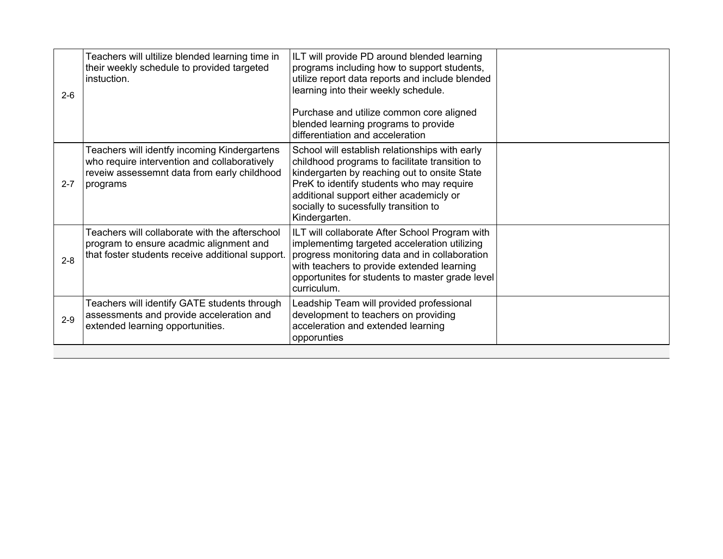| $2 - 6$ | Teachers will ultilize blended learning time in<br>their weekly schedule to provided targeted<br>instuction.                                            | ILT will provide PD around blended learning<br>programs including how to support students,<br>utilize report data reports and include blended<br>learning into their weekly schedule.<br>Purchase and utilize common core aligned<br>blended learning programs to provide |  |
|---------|---------------------------------------------------------------------------------------------------------------------------------------------------------|---------------------------------------------------------------------------------------------------------------------------------------------------------------------------------------------------------------------------------------------------------------------------|--|
| $2 - 7$ | Teachers will identfy incoming Kindergartens<br>who require intervention and collaboratively<br>reveiw assessemnt data from early childhood<br>programs | differentiation and acceleration<br>School will establish relationships with early<br>childhood programs to facilitate transition to<br>kindergarten by reaching out to onsite State<br>PreK to identify students who may require                                         |  |
|         |                                                                                                                                                         | additional support either academicly or<br>socially to sucessfully transition to<br>Kindergarten.                                                                                                                                                                         |  |
| $2 - 8$ | Teachers will collaborate with the afterschool<br>program to ensure acadmic alignment and<br>that foster students receive additional support.           | ILT will collaborate After School Program with<br>implementimg targeted acceleration utilizing<br>progress monitoring data and in collaboration<br>with teachers to provide extended learning<br>opportunites for students to master grade level<br>curriculum.           |  |
| $2 - 9$ | Teachers will identify GATE students through<br>assessments and provide acceleration and<br>extended learning opportunities.                            | Leadship Team will provided professional<br>development to teachers on providing<br>acceleration and extended learning<br>opporunties                                                                                                                                     |  |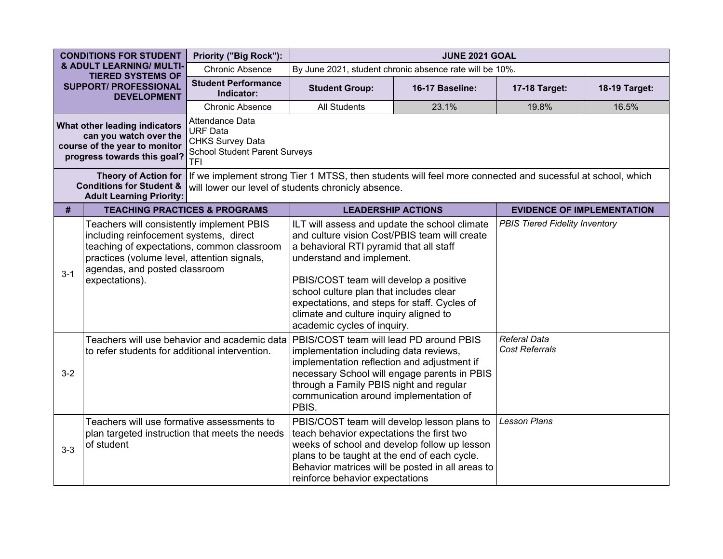| <b>CONDITIONS FOR STUDENT</b>                                                                                           |                                                                                                                                                                                                                                                                                                                                                                                               | Priority ("Big Rock"):                                                                                              | <b>JUNE 2021 GOAL</b>                                                                                                                                                                                                                                                                                                                                                                |       |                                       |                                   |  |  |
|-------------------------------------------------------------------------------------------------------------------------|-----------------------------------------------------------------------------------------------------------------------------------------------------------------------------------------------------------------------------------------------------------------------------------------------------------------------------------------------------------------------------------------------|---------------------------------------------------------------------------------------------------------------------|--------------------------------------------------------------------------------------------------------------------------------------------------------------------------------------------------------------------------------------------------------------------------------------------------------------------------------------------------------------------------------------|-------|---------------------------------------|-----------------------------------|--|--|
|                                                                                                                         | & ADULT LEARNING/ MULTI-<br><b>TIERED SYSTEMS OF</b>                                                                                                                                                                                                                                                                                                                                          | <b>Chronic Absence</b>                                                                                              | By June 2021, student chronic absence rate will be 10%.                                                                                                                                                                                                                                                                                                                              |       |                                       |                                   |  |  |
| <b>SUPPORT/ PROFESSIONAL</b><br><b>DEVELOPMENT</b>                                                                      |                                                                                                                                                                                                                                                                                                                                                                                               | <b>Student Performance</b><br>Indicator:                                                                            | <b>Student Group:</b><br>16-17 Baseline:                                                                                                                                                                                                                                                                                                                                             |       | 17-18 Target:                         | 18-19 Target:                     |  |  |
|                                                                                                                         |                                                                                                                                                                                                                                                                                                                                                                                               | <b>Chronic Absence</b>                                                                                              | <b>All Students</b>                                                                                                                                                                                                                                                                                                                                                                  | 23.1% | 19.8%                                 | 16.5%                             |  |  |
| What other leading indicators<br>can you watch over the<br>course of the year to monitor<br>progress towards this goal? |                                                                                                                                                                                                                                                                                                                                                                                               | Attendance Data<br><b>URF Data</b><br><b>CHKS Survey Data</b><br><b>School Student Parent Surveys</b><br><b>TFI</b> |                                                                                                                                                                                                                                                                                                                                                                                      |       |                                       |                                   |  |  |
|                                                                                                                         | <b>Theory of Action for</b><br><b>Conditions for Student &amp;</b><br><b>Adult Learning Priority:</b>                                                                                                                                                                                                                                                                                         |                                                                                                                     | If we implement strong Tier 1 MTSS, then students will feel more connected and sucessful at school, which<br>will lower our level of students chronicly absence.                                                                                                                                                                                                                     |       |                                       |                                   |  |  |
| #                                                                                                                       |                                                                                                                                                                                                                                                                                                                                                                                               | <b>TEACHING PRACTICES &amp; PROGRAMS</b>                                                                            | <b>LEADERSHIP ACTIONS</b>                                                                                                                                                                                                                                                                                                                                                            |       |                                       | <b>EVIDENCE OF IMPLEMENTATION</b> |  |  |
| $3 - 1$                                                                                                                 | Teachers will consistently implement PBIS<br>including reinfocement systems, direct<br>teaching of expectations, common classroom<br>practices (volume level, attention signals,<br>agendas, and posted classroom<br>expectations).                                                                                                                                                           |                                                                                                                     | ILT will assess and update the school climate<br>and culture vision Cost/PBIS team will create<br>a behavioral RTI pyramid that all staff<br>understand and implement.<br>PBIS/COST team will develop a positive<br>school culture plan that includes clear<br>expectations, and steps for staff. Cycles of<br>climate and culture inquiry aligned to<br>academic cycles of inquiry. |       | <b>PBIS Tiered Fidelity Inventory</b> |                                   |  |  |
| $3-2$                                                                                                                   | Teachers will use behavior and academic data<br>PBIS/COST team will lead PD around PBIS<br>implementation including data reviews,<br>to refer students for additional intervention.<br>implementation reflection and adjustment if<br>necessary School will engage parents in PBIS<br>through a Family PBIS night and regular<br>communication around implementation of<br>PBIS.              |                                                                                                                     | <b>Referal Data</b><br><b>Cost Referrals</b>                                                                                                                                                                                                                                                                                                                                         |       |                                       |                                   |  |  |
| $3-3$                                                                                                                   | Teachers will use formative assessments to<br>PBIS/COST team will develop lesson plans to<br>teach behavior expectations the first two<br>plan targeted instruction that meets the needs<br>weeks of school and develop follow up lesson<br>of student<br>plans to be taught at the end of each cycle.<br>Behavior matrices will be posted in all areas to<br>reinforce behavior expectations |                                                                                                                     | <b>Lesson Plans</b>                                                                                                                                                                                                                                                                                                                                                                  |       |                                       |                                   |  |  |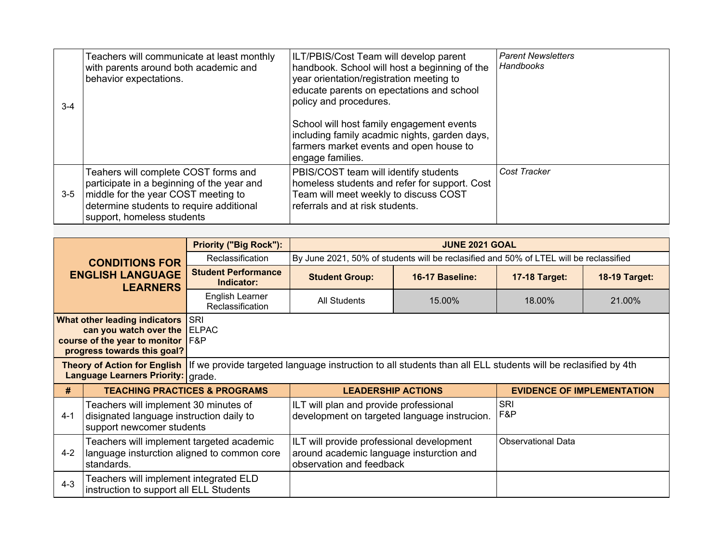| $3 - 4$ | Teachers will communicate at least monthly<br>with parents around both academic and<br>behavior expectations.                                                                                       | ILT/PBIS/Cost Team will develop parent<br>handbook. School will host a beginning of the<br>year orientation/registration meeting to<br>educate parents on epectations and school<br>policy and procedures.<br>School will host family engagement events<br>including family acadmic nights, garden days,<br>farmers market events and open house to<br>engage families. | <b>Parent Newsletters</b><br>Handbooks |
|---------|-----------------------------------------------------------------------------------------------------------------------------------------------------------------------------------------------------|-------------------------------------------------------------------------------------------------------------------------------------------------------------------------------------------------------------------------------------------------------------------------------------------------------------------------------------------------------------------------|----------------------------------------|
| 3-5     | Teahers will complete COST forms and<br>participate in a beginning of the year and<br>middle for the year COST meeting to<br>determine students to require additional<br>support, homeless students | PBIS/COST team will identify students<br>homeless students and refer for support. Cost<br>Team will meet weekly to discuss COST<br>referrals and at risk students.                                                                                                                                                                                                      | Cost Tracker                           |

|                                                                                                                                                                                 |                                                                                                                | <b>Priority ("Big Rock"):</b>            | <b>JUNE 2021 GOAL</b>                                                                                             |                 |                           |                                   |  |  |
|---------------------------------------------------------------------------------------------------------------------------------------------------------------------------------|----------------------------------------------------------------------------------------------------------------|------------------------------------------|-------------------------------------------------------------------------------------------------------------------|-----------------|---------------------------|-----------------------------------|--|--|
|                                                                                                                                                                                 | <b>CONDITIONS FOR</b>                                                                                          | Reclassification                         | By June 2021, 50% of students will be reclasified and 50% of LTEL will be reclassified                            |                 |                           |                                   |  |  |
|                                                                                                                                                                                 | <b>ENGLISH LANGUAGE</b><br><b>LEARNERS</b>                                                                     | <b>Student Performance</b><br>Indicator: | <b>Student Group:</b>                                                                                             | 16-17 Baseline: | <b>17-18 Target:</b>      | <b>18-19 Target:</b>              |  |  |
|                                                                                                                                                                                 |                                                                                                                | English Learner<br>Reclassification      | <b>All Students</b>                                                                                               | 15.00%          | 18.00%                    | 21.00%                            |  |  |
| SRI<br>What other leading indicators<br>can you watch over the<br><b>ELPAC</b><br>F&P<br>course of the year to monitor<br>progress towards this goal?                           |                                                                                                                |                                          |                                                                                                                   |                 |                           |                                   |  |  |
| Theory of Action for English If we provide targeted language instruction to all students than all ELL students will be reclasified by 4th<br>Language Learners Priority: grade. |                                                                                                                |                                          |                                                                                                                   |                 |                           |                                   |  |  |
| #                                                                                                                                                                               |                                                                                                                | <b>TEACHING PRACTICES &amp; PROGRAMS</b> | <b>LEADERSHIP ACTIONS</b>                                                                                         |                 |                           | <b>EVIDENCE OF IMPLEMENTATION</b> |  |  |
| $4 - 1$                                                                                                                                                                         | Teachers will implement 30 minutes of<br>disignated language instruction daily to<br>support newcomer students |                                          | ILT will plan and provide professional<br>development on targeted language instrucion.                            |                 | <b>SRI</b><br>F&P         |                                   |  |  |
| $4 - 2$                                                                                                                                                                         | Teachers will implement targeted academic<br>language insturction aligned to common core<br>standards.         |                                          | ILT will provide professional development<br>around academic language insturction and<br>observation and feedback |                 | <b>Observational Data</b> |                                   |  |  |
| $4 - 3$                                                                                                                                                                         | Teachers will implement integrated ELD<br>instruction to support all ELL Students                              |                                          |                                                                                                                   |                 |                           |                                   |  |  |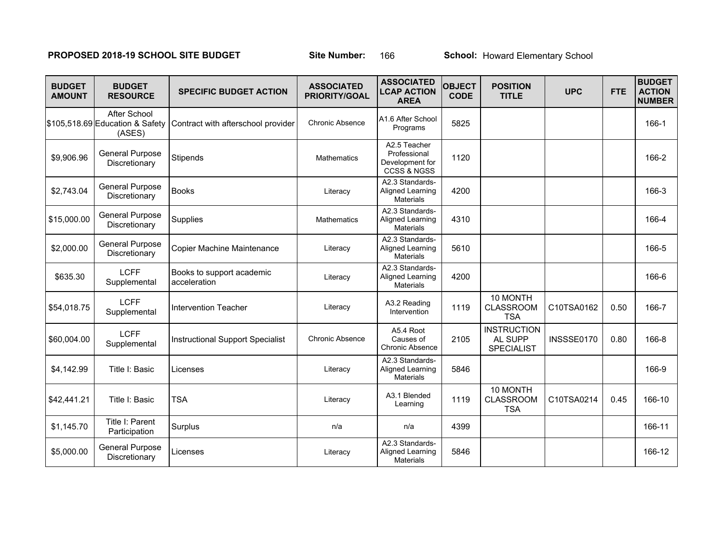# **PROPOSED 2018-19 SCHOOL SITE BUDGET** Site Number: 166 School: Howard Elementary School

| <b>BUDGET</b><br><b>AMOUNT</b> | <b>BUDGET</b><br><b>RESOURCE</b>                          | <b>SPECIFIC BUDGET ACTION</b>             | <b>ASSOCIATED</b><br><b>PRIORITY/GOAL</b> | <b>ASSOCIATED</b><br><b>LCAP ACTION</b><br><b>AREA</b>                    | <b>OBJECT</b><br><b>CODE</b> | <b>POSITION</b><br><b>TITLE</b>                           | <b>UPC</b> | <b>FTE</b> | <b>BUDGET</b><br><b>ACTION</b><br><b>NUMBER</b> |
|--------------------------------|-----------------------------------------------------------|-------------------------------------------|-------------------------------------------|---------------------------------------------------------------------------|------------------------------|-----------------------------------------------------------|------------|------------|-------------------------------------------------|
|                                | After School<br>\$105,518.69 Education & Safety<br>(ASES) | Contract with afterschool provider        | <b>Chronic Absence</b>                    | A1.6 After School<br>Programs                                             | 5825                         |                                                           |            |            | 166-1                                           |
| \$9,906.96                     | General Purpose<br>Discretionary                          | Stipends                                  | Mathematics                               | A2.5 Teacher<br>Professional<br>Development for<br><b>CCSS &amp; NGSS</b> | 1120                         |                                                           |            |            | 166-2                                           |
| \$2,743.04                     | <b>General Purpose</b><br>Discretionary                   | <b>Books</b>                              | Literacy                                  | A2.3 Standards-<br>Aligned Learning<br><b>Materials</b>                   | 4200                         |                                                           |            |            | 166-3                                           |
| \$15,000.00                    | <b>General Purpose</b><br>Discretionary                   | Supplies                                  | Mathematics                               | A2.3 Standards-<br>Aligned Learning<br><b>Materials</b>                   | 4310                         |                                                           |            |            | 166-4                                           |
| \$2,000.00                     | <b>General Purpose</b><br>Discretionary                   | Copier Machine Maintenance                | Literacy                                  | A2.3 Standards-<br>Aligned Learning<br><b>Materials</b>                   | 5610                         |                                                           |            |            | 166-5                                           |
| \$635.30                       | <b>LCFF</b><br>Supplemental                               | Books to support academic<br>acceleration | Literacy                                  | A2.3 Standards-<br>Aligned Learning<br><b>Materials</b>                   | 4200                         |                                                           |            |            | 166-6                                           |
| \$54,018.75                    | <b>LCFF</b><br>Supplemental                               | <b>Intervention Teacher</b>               | Literacy                                  | A3.2 Reading<br>Intervention                                              | 1119                         | 10 MONTH<br><b>CLASSROOM</b><br><b>TSA</b>                | C10TSA0162 | 0.50       | 166-7                                           |
| \$60,004.00                    | <b>LCFF</b><br>Supplemental                               | <b>Instructional Support Specialist</b>   | Chronic Absence                           | A5.4 Root<br>Causes of<br><b>Chronic Absence</b>                          | 2105                         | <b>INSTRUCTION</b><br><b>AL SUPP</b><br><b>SPECIALIST</b> | INSSSE0170 | 0.80       | 166-8                                           |
| \$4,142.99                     | Title I: Basic                                            | Licenses                                  | Literacy                                  | A2.3 Standards-<br>Aligned Learning<br><b>Materials</b>                   | 5846                         |                                                           |            |            | 166-9                                           |
| \$42,441.21                    | Title I: Basic                                            | <b>TSA</b>                                | Literacy                                  | A3.1 Blended<br>Learning                                                  | 1119                         | 10 MONTH<br><b>CLASSROOM</b><br><b>TSA</b>                | C10TSA0214 | 0.45       | 166-10                                          |
| \$1,145.70                     | Title I: Parent<br>Participation                          | Surplus                                   | n/a                                       | n/a                                                                       | 4399                         |                                                           |            |            | 166-11                                          |
| \$5,000.00                     | General Purpose<br>Discretionary                          | Licenses                                  | Literacy                                  | A2.3 Standards-<br>Aligned Learning<br><b>Materials</b>                   | 5846                         |                                                           |            |            | 166-12                                          |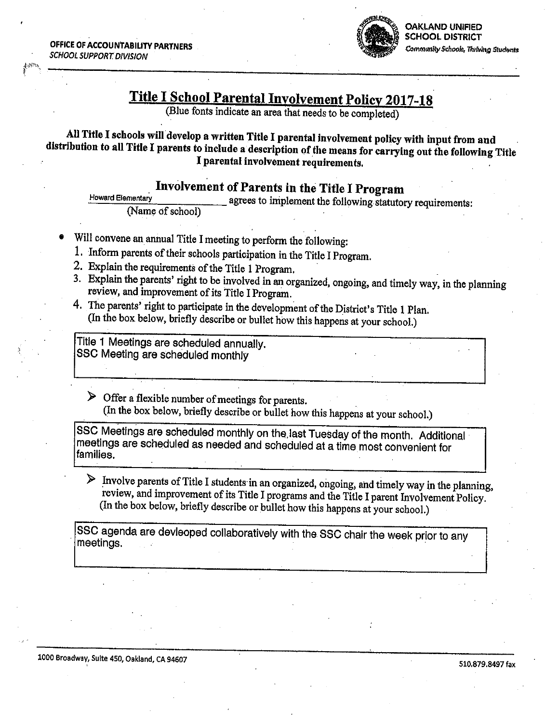

# **Title I School Parental Involvement Policy 2017-18**

(Blue fonts indicate an area that needs to be completed)

All Title I schools will develop a written Title I parental involvement policy with input from and distribution to all Title I parents to include a description of the means for carrying out the following Title I parental involvement requirements.

# Involvement of Parents in the Title I Program

**Howard Elementary** agrees to implement the following statutory requirements: (Name of school)

- Will convene an annual Title I meeting to perform the following:
- 1. Inform parents of their schools participation in the Title I Program.
- 2. Explain the requirements of the Title 1 Program.
- 3. Explain the parents' right to be involved in an organized, ongoing, and timely way, in the planning review, and improvement of its Title I Program.
- 4. The parents' right to participate in the development of the District's Title 1 Plan. (In the box below, briefly describe or bullet how this happens at your school.)

Title 1 Meetings are scheduled annually. SSC Meeting are scheduled monthly

 $\triangleright$  Offer a flexible number of meetings for parents. (In the box below, briefly describe or bullet how this happens at your school.)

SSC Meetings are scheduled monthly on the last Tuesday of the month. Additional meetings are scheduled as needed and scheduled at a time most convenient for families.

> Involve parents of Title I students in an organized, ongoing, and timely way in the planning, review, and improvement of its Title I programs and the Title I parent Involvement Policy. (In the box below, briefly describe or bullet how this happens at your school.)

SSC agenda are devleoped collaboratively with the SSC chair the week prior to any meetings.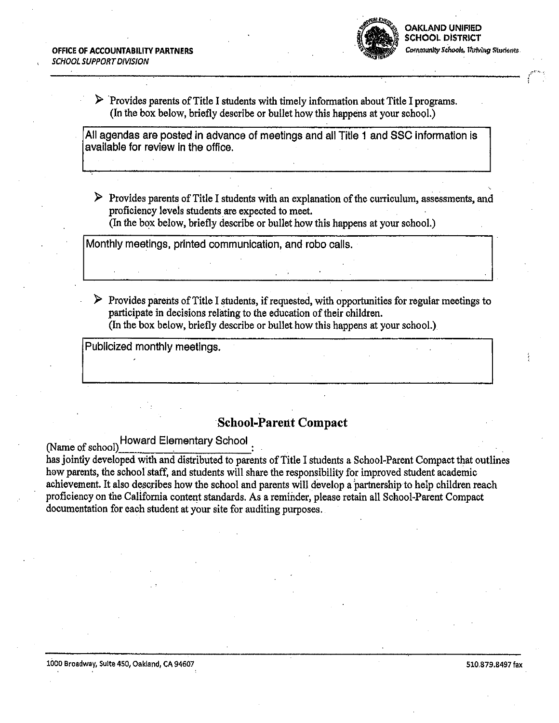

 $\triangleright$  Provides parents of Title I students with timely information about Title I programs. (In the box below, briefly describe or bullet how this happens at your school.)

All agendas are posted in advance of meetings and all Title 1 and SSC information is available for review in the office.

 $\triangleright$  Provides parents of Title I students with an explanation of the curriculum, assessments, and proficiency levels students are expected to meet.

(In the box below, briefly describe or bullet how this happens at your school.)

Monthly meetings, printed communication, and robo calls.

 $\triangleright$  Provides parents of Title I students, if requested, with opportunities for regular meetings to participate in decisions relating to the education of their children. (In the box below, briefly describe or bullet how this happens at your school.)

Publicized monthly meetings.

# **School-Parent Compact**

(Name of school) Howard Elementary School

has jointly developed with and distributed to parents of Title I students a School-Parent Compact that outlines how parents, the school staff, and students will share the responsibility for improved student academic achievement. It also describes how the school and parents will develop a partnership to help children reach proficiency on the California content standards. As a reminder, please retain all School-Parent Compact documentation for each student at your site for auditing purposes.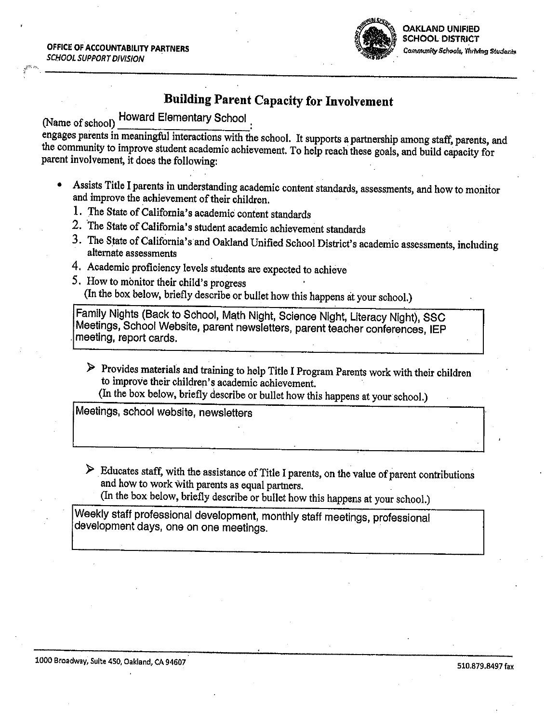OFFICE OF ACCOUNTABILITY PARTNERS SCHOOL SUPPORT DIVISION



# **Building Parent Capacity for Involvement**

**Howard Elementary School** (Name of school)

engages parents in meaningful interactions with the school. It supports a partnership among staff, parents, and the community to improve student academic achievement. To help reach these goals, and build capacity for parent involvement, it does the following:

- Assists Title I parents in understanding academic content standards, assessments, and how to monitor and improve the achievement of their children.
	- 1. The State of California's academic content standards
	- 2. The State of California's student academic achievement standards
	- 3. The State of California's and Oakland Unified School District's academic assessments, including alternate assessments
	- 4. Academic proficiency levels students are expected to achieve
	- 5. How to monitor their child's progress (In the box below, briefly describe or bullet how this happens at your school.)

Family Nights (Back to School, Math Night, Science Night, Literacy Night), SSC Meetings, School Website, parent newsletters, parent teacher conferences, IEP meeting, report cards.

> Provides materials and training to help Title I Program Parents work with their children to improve their children's academic achievement.

(In the box below, briefly describe or bullet how this happens at your school.)

Meetings, school website, newsletters

- $\triangleright$  Educates staff, with the assistance of Title I parents, on the value of parent contributions and how to work with parents as equal partners.
	- (In the box below, briefly describe or bullet how this happens at your school.)

Weekly staff professional development, monthly staff meetings, professional development days, one on one meetings.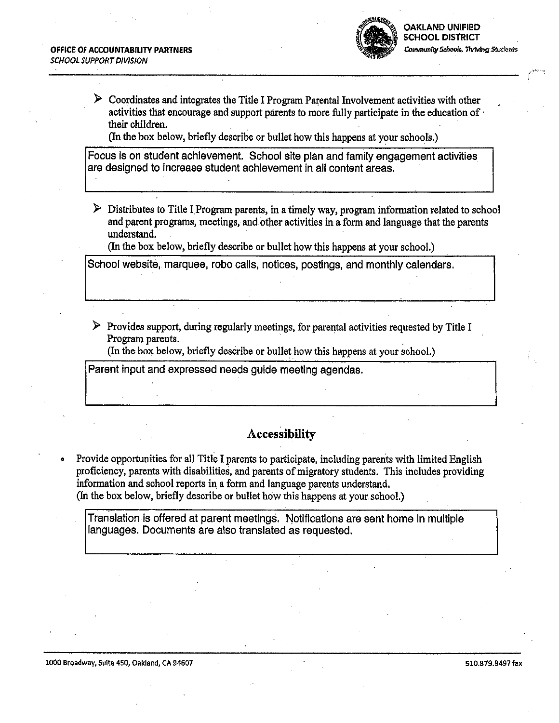

 $\triangleright$  Coordinates and integrates the Title I Program Parental Involvement activities with other activities that encourage and support parents to more fully participate in the education of their children.

(In the box below, briefly describe or bullet how this happens at your schools.)

Focus is on student achievement. School site plan and family engagement activities are designed to increase student achievement in all content areas.

 $\triangleright$  Distributes to Title I Program parents, in a timely way, program information related to school and parent programs, meetings, and other activities in a form and language that the parents understand.

(In the box below, briefly describe or bullet how this happens at your school.)

School website, marquee, robo calls, notices, postings, and monthly calendars.

 $\triangleright$  Provides support, during regularly meetings, for parental activities requested by Title I Program parents.

(In the box below, briefly describe or bullet how this happens at your school.)

Parent input and expressed needs guide meeting agendas.

# Accessibility

Provide opportunities for all Title I parents to participate, including parents with limited English proficiency, parents with disabilities, and parents of migratory students. This includes providing information and school reports in a form and language parents understand. (In the box below, briefly describe or bullet how this happens at your school.)

Translation is offered at parent meetings. Notifications are sent home in multiple languages. Documents are also translated as requested.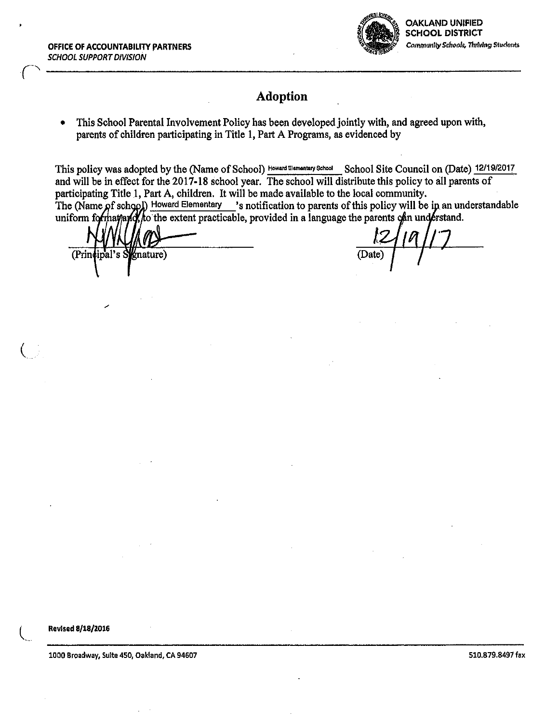OFFICE OF ACCOUNTABILITY PARTNERS **SCHOOL SUPPORT DIVISION** 



# **Adoption**

This School Parental Involvement Policy has been developed jointly with, and agreed upon with, parents of children participating in Title 1, Part A Programs, as evidenced by

This policy was adopted by the (Name of School) Howard Elementary School Site Council on (Date) 12/19/2017 and will be in effect for the 2017-18 school year. The school will distribute this policy to all parents of participating Title 1, Part A, children. It will be made available to the local community. The (Name of school) Howard Elementary 's notification to parents of this policy will be in an understandable uniform formation of the extent practicable, provided in a language the parents can understand.

(Principal's Sygnature)

(Date)

Revised 8/18/2016

1000 Broadway, Suite 450, Oakland, CA 94607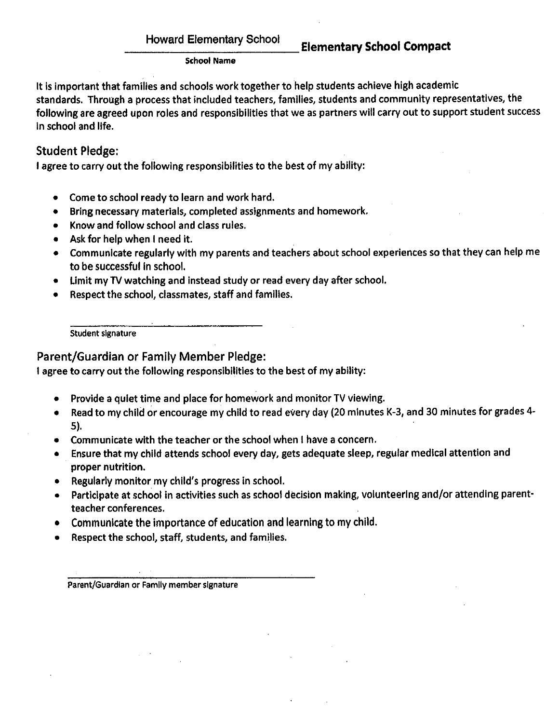## **Elementary School Compact**

### **School Name**

It is important that families and schools work together to help students achieve high academic standards. Through a process that included teachers, families, students and community representatives, the following are agreed upon roles and responsibilities that we as partners will carry out to support student success in school and life.

## **Student Pledge:**

I agree to carry out the following responsibilities to the best of my ability:

- Come to school ready to learn and work hard.
- Bring necessary materials, completed assignments and homework.
- Know and follow school and class rules.
- Ask for help when I need it.
- Communicate regularly with my parents and teachers about school experiences so that they can help me to be successful in school.
- Limit my TV watching and instead study or read every day after school.
- Respect the school, classmates, staff and families.

Student signature

Parent/Guardian or Family Member Pledge:

I agree to carry out the following responsibilities to the best of my ability:

- Provide a quiet time and place for homework and monitor TV viewing.
- Read to my child or encourage my child to read every day (20 minutes K-3, and 30 minutes for grades 4-5).
- Communicate with the teacher or the school when I have a concern.
- Ensure that my child attends school every day, gets adequate sleep, regular medical attention and proper nutrition.
- Regularly monitor my child's progress in school.
- Participate at school in activities such as school decision making, volunteering and/or attending parentteacher conferences.
- Communicate the importance of education and learning to my child.
- Respect the school, staff, students, and families.

Parent/Guardian or Family member signature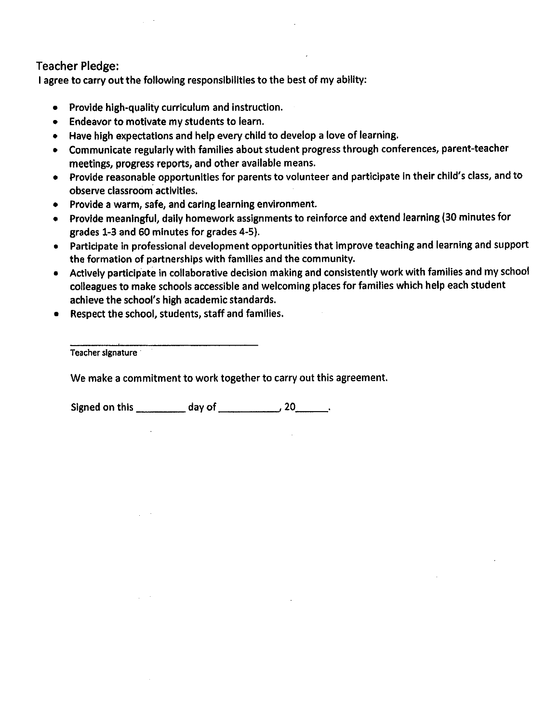## **Teacher Pledge:**

I agree to carry out the following responsibilities to the best of my ability:

- Provide high-quality curriculum and instruction.
- Endeavor to motivate my students to learn.
- Have high expectations and help every child to develop a love of learning.
- Communicate regularly with families about student progress through conferences, parent-teacher meetings, progress reports, and other available means.
- Provide reasonable opportunities for parents to volunteer and participate in their child's class, and to observe classroom activities.
- Provide a warm, safe, and caring learning environment.
- Provide meaningful, daily homework assignments to reinforce and extend learning (30 minutes for grades 1-3 and 60 minutes for grades 4-5).
- Participate in professional development opportunities that improve teaching and learning and support the formation of partnerships with families and the community.
- Actively participate in collaborative decision making and consistently work with families and my school colleagues to make schools accessible and welcoming places for families which help each student achieve the school's high academic standards.
- Respect the school, students, staff and families.

Teacher signature

We make a commitment to work together to carry out this agreement.